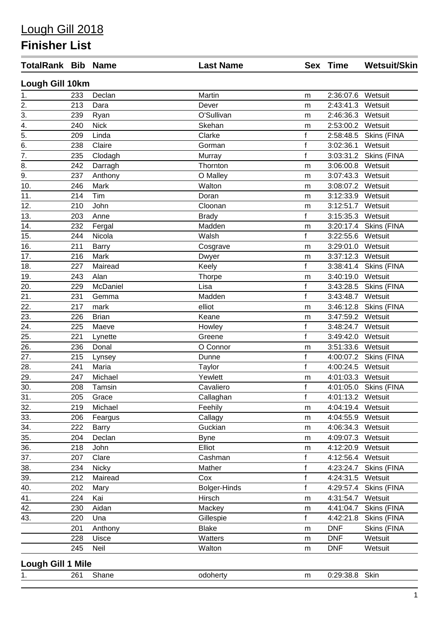## Lough Gill 2018

## **Finisher List**

| <b>TotalRank Bib Name</b> |     |              | <b>Last Name</b> |              | Sex Time          | <b>Wetsuit/Skin</b>   |
|---------------------------|-----|--------------|------------------|--------------|-------------------|-----------------------|
| Lough Gill 10km           |     |              |                  |              |                   |                       |
| 1.                        | 233 | Declan       | Martin           | m            | 2:36:07.6         | Wetsuit               |
| $\overline{2}$ .          | 213 | Dara         | Dever            | m            | 2:43:41.3         | Wetsuit               |
|                           | 239 | Ryan         | O'Sullivan       | ${\sf m}$    | 2:46:36.3         | Wetsuit               |
| $rac{3}{4}$ .<br>5.       | 240 | <b>Nick</b>  | Skehan           | m            | 2:53:00.2         | Wetsuit               |
|                           | 209 | Linda        | Clarke           | $\mathsf{f}$ | 2:58:48.5         | Skins (FINA           |
| $\overline{6}$ .          | 238 | Claire       | Gorman           | $\mathsf f$  | 3:02:36.1         | Wetsuit               |
| $\overline{7}$ .          | 235 | Clodagh      | Murray           | $\mathsf{f}$ | 3:03:31.2         | Skins (FINA           |
| 8.                        | 242 | Darragh      | Thornton         | ${\sf m}$    | 3:06:00.8         | Wetsuit               |
| $\overline{9}$ .          | 237 | Anthony      | O Malley         | m            | 3:07:43.3         | Wetsuit               |
| $\overline{10}$ .         | 246 | Mark         | Walton           | ${\sf m}$    | 3:08:07.2         | Wetsuit               |
| 11.                       | 214 | Tim          | Doran            | m            | 3:12:33.9         | Wetsuit               |
| 12.                       | 210 | John         | Cloonan          | ${\sf m}$    | 3:12:51.7         | Wetsuit               |
| 13.                       | 203 | Anne         | <b>Brady</b>     | f            | 3:15:35.3         | Wetsuit               |
| 14.                       | 232 | Fergal       | Madden           | ${\sf m}$    | 3:20:17.4         | Skins (FINA           |
| 15.                       | 244 | Nicola       | Walsh            | $\mathbf f$  | 3:22:55.6         | Wetsuit               |
| 16.                       | 211 | <b>Barry</b> | Cosgrave         | m            | 3:29:01.0         | Wetsuit               |
| $\overline{17}$ .         | 216 | Mark         | Dwyer            | m            | 3:37:12.3         | Wetsuit               |
| 18.                       | 227 | Mairead      | Keely            | $\mathsf f$  | 3:38:41.4         | Skins (FINA           |
| 19.                       | 243 | Alan         | <b>Thorpe</b>    | ${\sf m}$    | 3:40:19.0         | Wetsuit               |
| 20.                       | 229 | McDaniel     | Lisa             | $\mathsf f$  | 3:43:28.5         | Skins (FINA           |
| 21.                       | 231 | Gemma        | Madden           | $\mathsf{f}$ | 3:43:48.7         | Wetsuit               |
| 22.                       | 217 | mark         | elliot           | ${\sf m}$    | 3:46:12.8         | Skins (FINA           |
| 23.                       | 226 | <b>Brian</b> | Keane            | m            | 3:47:59.2         | Wetsuit               |
| $\frac{24}{25}$           | 225 | Maeve        | Howley           | $\mathsf{f}$ | 3:48:24.7         | Wetsuit               |
|                           | 221 | Lynette      | Greene           | $\mathsf{f}$ | 3:49:42.0         | Wetsuit               |
| $\frac{1}{26}$            | 236 | Donal        | O Connor         | ${\sf m}$    | 3:51:33.6         | Wetsuit               |
| 27.                       | 215 | Lynsey       | Dunne            | $\mathsf f$  | 4:00:07.2         | Skins (FINA           |
| 28.                       | 241 | Maria        | <b>Taylor</b>    | $\mathsf{f}$ | 4:00:24.5         | Wetsuit               |
| 29.                       | 247 | Michael      | Yewlett          | m            | 4:01:03.3         | Wetsuit               |
| 30.                       | 208 | Tamsin       | Cavaliero        | $\mathsf{f}$ |                   | 4:01:05.0 Skins (FINA |
| 31.                       | 205 | Grace        | Callaghan        | $\mathsf{f}$ | 4:01:13.2 Wetsuit |                       |
| 32.                       | 219 | Michael      | Feehily          | ${\sf m}$    | 4:04:19.4         | Wetsuit               |
| 33.                       | 206 | Feargus      | Callagy          | m            | 4:04:55.9         | Wetsuit               |
| $\overline{34}$ .         | 222 | Barry        | Guckian          | m            | 4:06:34.3         | Wetsuit               |
| $\overline{35}$ .         | 204 | Declan       | <b>Byne</b>      | ${\sf m}$    | 4:09:07.3         | Wetsuit               |
| $\overline{36}$ .         | 218 | John         | Elliot           | m            | 4:12:20.9         | Wetsuit               |
| 37.                       | 207 | Clare        | Cashman          | f            | 4:12:56.4         | Wetsuit               |
| 38.                       | 234 | <b>Nicky</b> | Mather           | $\mathsf f$  | 4:23:24.7         | Skins (FINA           |
| 39.                       | 212 | Mairead      | Cox              | $\mathsf f$  | 4:24:31.5         | Wetsuit               |
| 40.                       | 202 | Mary         | Bolger-Hinds     | f            | 4:29:57.4         | Skins (FINA           |
| 41.                       | 224 | Kai          | Hirsch           | ${\sf m}$    | 4:31:54.7         | Wetsuit               |
| 42.                       | 230 | Aidan        | Mackey           | m            | 4:41:04.7         | Skins (FINA           |
| 43.                       | 220 | Una          | Gillespie        | f            | 4:42:21.8         | Skins (FINA           |
|                           | 201 | Anthony      | <b>Blake</b>     | ${\sf m}$    | <b>DNF</b>        | Skins (FINA           |
|                           | 228 | Uisce        | Watters          | ${\sf m}$    | <b>DNF</b>        | Wetsuit               |
|                           | 245 | Neil         | Walton           | ${\sf m}$    | <b>DNF</b>        | Wetsuit               |
| <b>Lough Gill 1 Mile</b>  |     |              |                  |              |                   |                       |
| 1.                        | 261 | Shane        | odoherty         | ${\sf m}$    | 0:29:38.8 Skin    |                       |
|                           |     |              |                  |              |                   |                       |